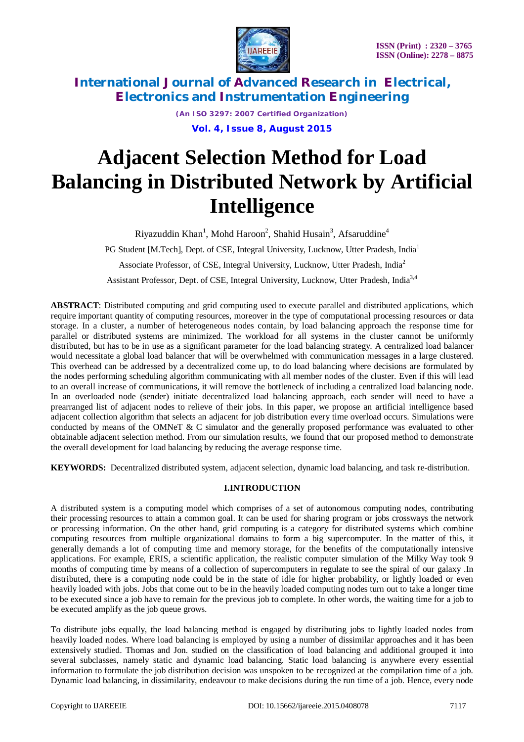

*(An ISO 3297: 2007 Certified Organization)* **Vol. 4, Issue 8, August 2015**

# **Adjacent Selection Method for Load Balancing in Distributed Network by Artificial Intelligence**

Riyazuddin Khan<sup>1</sup>, Mohd Haroon<sup>2</sup>, Shahid Husain<sup>3</sup>, Afsaruddine<sup>4</sup>

PG Student [M.Tech], Dept. of CSE, Integral University, Lucknow, Utter Pradesh, India<sup>1</sup>

Associate Professor, of CSE, Integral University, Lucknow, Utter Pradesh, India<sup>2</sup>

Assistant Professor, Dept. of CSE, Integral University, Lucknow, Utter Pradesh, India<sup>3,4</sup>

**ABSTRACT**: Distributed computing and grid computing used to execute parallel and distributed applications, which require important quantity of computing resources, moreover in the type of computational processing resources or data storage. In a cluster, a number of heterogeneous nodes contain, by load balancing approach the response time for parallel or distributed systems are minimized. The workload for all systems in the cluster cannot be uniformly distributed, but has to be in use as a significant parameter for the load balancing strategy. A centralized load balancer would necessitate a global load balancer that will be overwhelmed with communication messages in a large clustered. This overhead can be addressed by a decentralized come up, to do load balancing where decisions are formulated by the nodes performing scheduling algorithm communicating with all member nodes of the cluster. Even if this will lead to an overall increase of communications, it will remove the bottleneck of including a centralized load balancing node. In an overloaded node (sender) initiate decentralized load balancing approach, each sender will need to have a prearranged list of adjacent nodes to relieve of their jobs. In this paper, we propose an artificial intelligence based adjacent collection algorithm that selects an adjacent for job distribution every time overload occurs. Simulations were conducted by means of the OMNeT & C simulator and the generally proposed performance was evaluated to other obtainable adjacent selection method. From our simulation results, we found that our proposed method to demonstrate the overall development for load balancing by reducing the average response time.

**KEYWORDS:** Decentralized distributed system, adjacent selection, dynamic load balancing, and task re-distribution.

## **I.INTRODUCTION**

A distributed system is a computing model which comprises of a set of autonomous computing nodes, contributing their processing resources to attain a common goal. It can be used for sharing program or jobs crossways the network or processing information. On the other hand, grid computing is a category for distributed systems which combine computing resources from multiple organizational domains to form a big supercomputer. In the matter of this, it generally demands a lot of computing time and memory storage, for the benefits of the computationally intensive applications. For example, ERIS, a scientific application, the realistic computer simulation of the Milky Way took 9 months of computing time by means of a collection of supercomputers in regulate to see the spiral of our galaxy .In distributed, there is a computing node could be in the state of idle for higher probability, or lightly loaded or even heavily loaded with jobs. Jobs that come out to be in the heavily loaded computing nodes turn out to take a longer time to be executed since a job have to remain for the previous job to complete. In other words, the waiting time for a job to be executed amplify as the job queue grows.

To distribute jobs equally, the load balancing method is engaged by distributing jobs to lightly loaded nodes from heavily loaded nodes. Where load balancing is employed by using a number of dissimilar approaches and it has been extensively studied. Thomas and Jon. studied on the classification of load balancing and additional grouped it into several subclasses, namely static and dynamic load balancing. Static load balancing is anywhere every essential information to formulate the job distribution decision was unspoken to be recognized at the compilation time of a job. Dynamic load balancing, in dissimilarity, endeavour to make decisions during the run time of a job. Hence, every node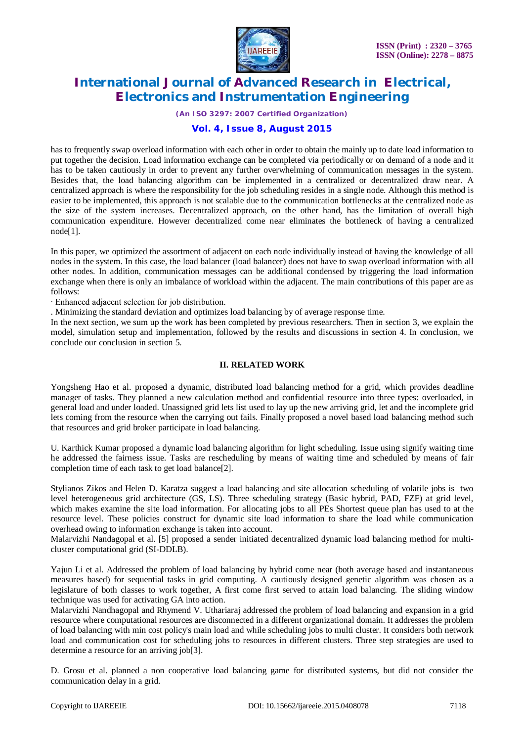

*(An ISO 3297: 2007 Certified Organization)*

## **Vol. 4, Issue 8, August 2015**

has to frequently swap overload information with each other in order to obtain the mainly up to date load information to put together the decision. Load information exchange can be completed via periodically or on demand of a node and it has to be taken cautiously in order to prevent any further overwhelming of communication messages in the system. Besides that, the load balancing algorithm can be implemented in a centralized or decentralized draw near. A centralized approach is where the responsibility for the job scheduling resides in a single node. Although this method is easier to be implemented, this approach is not scalable due to the communication bottlenecks at the centralized node as the size of the system increases. Decentralized approach, on the other hand, has the limitation of overall high communication expenditure. However decentralized come near eliminates the bottleneck of having a centralized node[1].

In this paper, we optimized the assortment of adjacent on each node individually instead of having the knowledge of all nodes in the system. In this case, the load balancer (load balancer) does not have to swap overload information with all other nodes. In addition, communication messages can be additional condensed by triggering the load information exchange when there is only an imbalance of workload within the adjacent. The main contributions of this paper are as follows:

∙ Enhanced adjacent selection for job distribution.

. Minimizing the standard deviation and optimizes load balancing by of average response time.

In the next section, we sum up the work has been completed by previous researchers. Then in section 3, we explain the model, simulation setup and implementation, followed by the results and discussions in section 4. In conclusion, we conclude our conclusion in section 5.

#### **II. RELATED WORK**

Yongsheng Hao et al. proposed a dynamic, distributed load balancing method for a grid, which provides deadline manager of tasks. They planned a new calculation method and confidential resource into three types: overloaded, in general load and under loaded. Unassigned grid lets list used to lay up the new arriving grid, let and the incomplete grid lets coming from the resource when the carrying out fails. Finally proposed a novel based load balancing method such that resources and grid broker participate in load balancing.

U. Karthick Kumar proposed a dynamic load balancing algorithm for light scheduling. Issue using signify waiting time he addressed the fairness issue. Tasks are rescheduling by means of waiting time and scheduled by means of fair completion time of each task to get load balance[2].

Stylianos Zikos and Helen D. Karatza suggest a load balancing and site allocation scheduling of volatile jobs is two level heterogeneous grid architecture (GS, LS). Three scheduling strategy (Basic hybrid, PAD, FZF) at grid level, which makes examine the site load information. For allocating jobs to all PEs Shortest queue plan has used to at the resource level. These policies construct for dynamic site load information to share the load while communication overhead owing to information exchange is taken into account.

Malarvizhi Nandagopal et al. [5] proposed a sender initiated decentralized dynamic load balancing method for multicluster computational grid (SI-DDLB).

Yajun Li et al. Addressed the problem of load balancing by hybrid come near (both average based and instantaneous measures based) for sequential tasks in grid computing. A cautiously designed genetic algorithm was chosen as a legislature of both classes to work together, A first come first served to attain load balancing. The sliding window technique was used for activating GA into action.

Malarvizhi Nandhagopal and Rhymend V. Uthariaraj addressed the problem of load balancing and expansion in a grid resource where computational resources are disconnected in a different organizational domain. It addresses the problem of load balancing with min cost policy's main load and while scheduling jobs to multi cluster. It considers both network load and communication cost for scheduling jobs to resources in different clusters. Three step strategies are used to determine a resource for an arriving job[3].

D. Grosu et al. planned a non cooperative load balancing game for distributed systems, but did not consider the communication delay in a grid.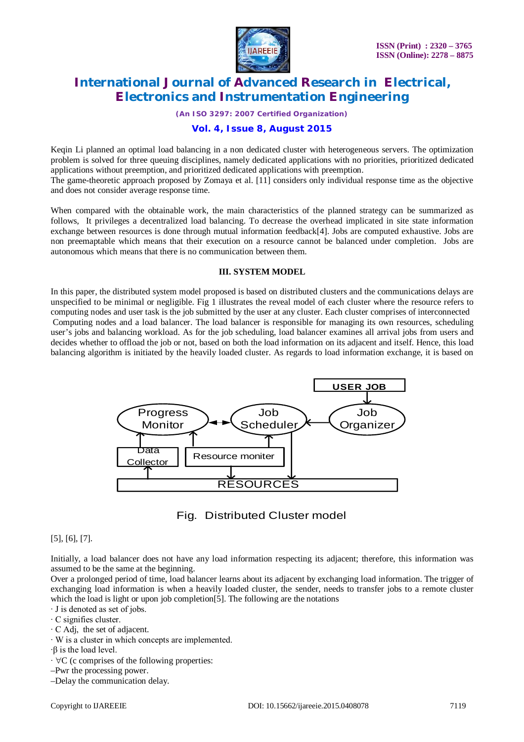

*(An ISO 3297: 2007 Certified Organization)*

## **Vol. 4, Issue 8, August 2015**

Keqin Li planned an optimal load balancing in a non dedicated cluster with heterogeneous servers. The optimization problem is solved for three queuing disciplines, namely dedicated applications with no priorities, prioritized dedicated applications without preemption, and prioritized dedicated applications with preemption.

The game-theoretic approach proposed by Zomaya et al. [11] considers only individual response time as the objective and does not consider average response time.

When compared with the obtainable work, the main characteristics of the planned strategy can be summarized as follows, It privileges a decentralized load balancing. To decrease the overhead implicated in site state information exchange between resources is done through mutual information feedback[4]. Jobs are computed exhaustive. Jobs are non preemaptable which means that their execution on a resource cannot be balanced under completion. Jobs are autonomous which means that there is no communication between them.

#### **III. SYSTEM MODEL**

In this paper, the distributed system model proposed is based on distributed clusters and the communications delays are unspecified to be minimal or negligible. Fig 1 illustrates the reveal model of each cluster where the resource refers to computing nodes and user task is the job submitted by the user at any cluster. Each cluster comprises of interconnected Computing nodes and a load balancer. The load balancer is responsible for managing its own resources, scheduling user's jobs and balancing workload. As for the job scheduling, load balancer examines all arrival jobs from users and decides whether to offload the job or not, based on both the load information on its adjacent and itself. Hence, this load balancing algorithm is initiated by the heavily loaded cluster. As regards to load information exchange, it is based on





[5], [6], [7].

Initially, a load balancer does not have any load information respecting its adjacent; therefore, this information was assumed to be the same at the beginning.

Over a prolonged period of time, load balancer learns about its adjacent by exchanging load information. The trigger of exchanging load information is when a heavily loaded cluster, the sender, needs to transfer jobs to a remote cluster which the load is light or upon job completion<sup>[5]</sup>. The following are the notations

∙ J is denoted as set of jobs.

∙ C signifies cluster.

∙ C Adj, the set of adjacent.

∙ W is a cluster in which concepts are implemented.

∙β is the load level.

∙ C (c comprises of the following properties:

–Pwr the processing power.

–Delay the communication delay.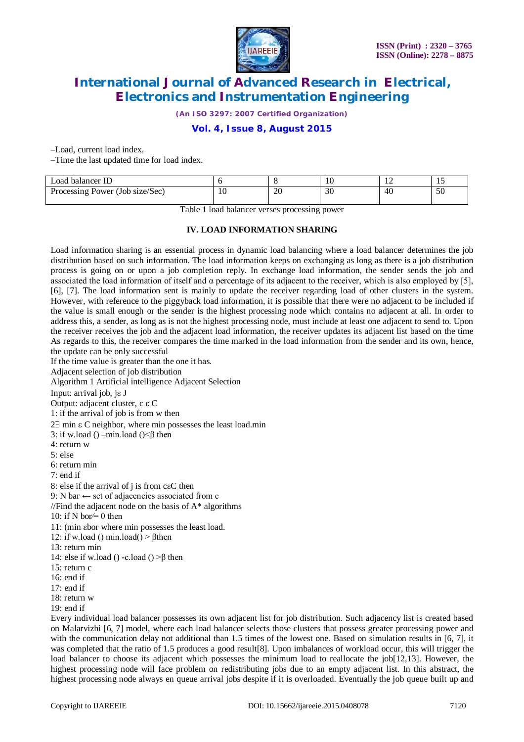

*(An ISO 3297: 2007 Certified Organization)*

## **Vol. 4, Issue 8, August 2015**

–Load, current load index.

–Time the last updated time for load index.

| Load balancer ID                |     |    | 10 | . . | . .        |
|---------------------------------|-----|----|----|-----|------------|
| Processing Power (Job size/Sec) | 1 U | 20 | 30 | 40  | $ -$<br>υc |

Table 1 load balancer verses processing power

#### **IV. LOAD INFORMATION SHARING**

Load information sharing is an essential process in dynamic load balancing where a load balancer determines the job distribution based on such information. The load information keeps on exchanging as long as there is a job distribution process is going on or upon a job completion reply. In exchange load information, the sender sends the job and associated the load information of itself and  $\alpha$  percentage of its adjacent to the receiver, which is also employed by [5], [6], [7]. The load information sent is mainly to update the receiver regarding load of other clusters in the system. However, with reference to the piggyback load information, it is possible that there were no adjacent to be included if the value is small enough or the sender is the highest processing node which contains no adjacent at all. In order to address this, a sender, as long as is not the highest processing node, must include at least one adjacent to send to. Upon the receiver receives the job and the adjacent load information, the receiver updates its adjacent list based on the time As regards to this, the receiver compares the time marked in the load information from the sender and its own, hence, the update can be only successful

If the time value is greater than the one it has.

Adjacent selection of job distribution

Algorithm 1 Artificial intelligence Adjacent Selection

Input: arrival job,  $i \in J$ 

Output: adjacent cluster, c  $\epsilon C$ 

1: if the arrival of job is from w then

 $2\exists$  min  $\varepsilon$  C neighbor, where min possesses the least load.min

3: if w.load () –min.load ()  $\leq \beta$  then

4: return w

5: else

6: return min

7: end if

8: else if the arrival of  $j$  is from c $\epsilon C$  then

9: N bar  $\leftarrow$  set of adjacencies associated from c

//Find the adjacent node on the basis of  $A^*$  algorithms

10: if N bor $\neq$  0 then

11: (min bor where min possesses the least load.

12: if w.load () min.load() >  $\beta$ then

13: return min

14: else if w.load () -c.load () > $\beta$  then

15: return  $c$ 

16: end if

17: end if

18: return w

19: end if

Every individual load balancer possesses its own adjacent list for job distribution. Such adjacency list is created based on Malarvizhi [6, 7] model, where each load balancer selects those clusters that possess greater processing power and with the communication delay not additional than 1.5 times of the lowest one. Based on simulation results in [6, 7], it was completed that the ratio of 1.5 produces a good result[8]. Upon imbalances of workload occur, this will trigger the load balancer to choose its adjacent which possesses the minimum load to reallocate the job[12,13]. However, the highest processing node will face problem on redistributing jobs due to an empty adjacent list. In this abstract, the highest processing node always en queue arrival jobs despite if it is overloaded. Eventually the job queue built up and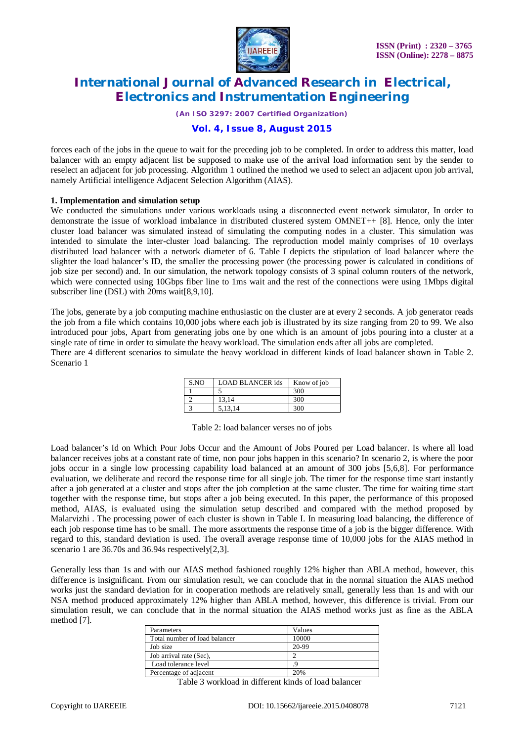

*(An ISO 3297: 2007 Certified Organization)*

#### **Vol. 4, Issue 8, August 2015**

forces each of the jobs in the queue to wait for the preceding job to be completed. In order to address this matter, load balancer with an empty adjacent list be supposed to make use of the arrival load information sent by the sender to reselect an adjacent for job processing. Algorithm 1 outlined the method we used to select an adjacent upon job arrival, namely Artificial intelligence Adjacent Selection Algorithm (AIAS).

#### **1. Implementation and simulation setup**

We conducted the simulations under various workloads using a disconnected event network simulator. In order to demonstrate the issue of workload imbalance in distributed clustered system OMNET++ [8]. Hence, only the inter cluster load balancer was simulated instead of simulating the computing nodes in a cluster. This simulation was intended to simulate the inter-cluster load balancing. The reproduction model mainly comprises of 10 overlays distributed load balancer with a network diameter of 6. Table I depicts the stipulation of load balancer where the slighter the load balancer's ID, the smaller the processing power (the processing power is calculated in conditions of job size per second) and. In our simulation, the network topology consists of 3 spinal column routers of the network, which were connected using 10Gbps fiber line to 1ms wait and the rest of the connections were using 1Mbps digital subscriber line (DSL) with 20ms wait[8,9,10].

The jobs, generate by a job computing machine enthusiastic on the cluster are at every 2 seconds. A job generator reads the job from a file which contains 10,000 jobs where each job is illustrated by its size ranging from 20 to 99. We also introduced pour jobs, Apart from generating jobs one by one which is an amount of jobs pouring into a cluster at a single rate of time in order to simulate the heavy workload. The simulation ends after all jobs are completed.

There are 4 different scenarios to simulate the heavy workload in different kinds of load balancer shown in Table 2. Scenario 1

| S.NO | <b>LOAD BLANCER ids</b> | Know of job |
|------|-------------------------|-------------|
|      |                         | 300         |
|      | 13.14                   | 300         |
|      | 5.13.14                 | 300         |

Table 2: load balancer verses no of jobs

Load balancer's Id on Which Pour Jobs Occur and the Amount of Jobs Poured per Load balancer. Is where all load balancer receives jobs at a constant rate of time, non pour jobs happen in this scenario? In scenario 2, is where the poor jobs occur in a single low processing capability load balanced at an amount of 300 jobs [5,6,8]. For performance evaluation, we deliberate and record the response time for all single job. The timer for the response time start instantly after a job generated at a cluster and stops after the job completion at the same cluster. The time for waiting time start together with the response time, but stops after a job being executed. In this paper, the performance of this proposed method, AIAS, is evaluated using the simulation setup described and compared with the method proposed by Malarvizhi . The processing power of each cluster is shown in Table I. In measuring load balancing, the difference of each job response time has to be small. The more assortments the response time of a job is the bigger difference. With regard to this, standard deviation is used. The overall average response time of 10,000 jobs for the AIAS method in scenario 1 are 36.70s and 36.94s respectively[2,3].

Generally less than 1s and with our AIAS method fashioned roughly 12% higher than ABLA method, however, this difference is insignificant. From our simulation result, we can conclude that in the normal situation the AIAS method works just the standard deviation for in cooperation methods are relatively small, generally less than 1s and with our NSA method produced approximately 12% higher than ABLA method, however, this difference is trivial. From our simulation result, we can conclude that in the normal situation the AIAS method works just as fine as the ABLA method [7].

| Parameters                    | Values |
|-------------------------------|--------|
| Total number of load balancer | 10000  |
| Job size                      | 20-99  |
| Job arrival rate (Sec),       |        |
| Load tolerance level          |        |
| Percentage of adjacent        | 20%    |

Table 3 workload in different kinds of load balancer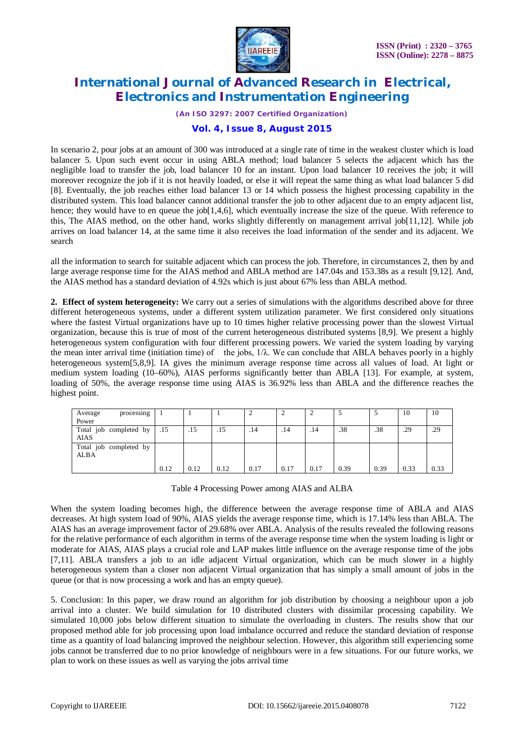

*(An ISO 3297: 2007 Certified Organization)*

#### **Vol. 4, Issue 8, August 2015**

In scenario 2, pour jobs at an amount of 300 was introduced at a single rate of time in the weakest cluster which is load balancer 5. Upon such event occur in using ABLA method; load balancer 5 selects the adjacent which has the negligible load to transfer the job, load balancer 10 for an instant. Upon load balancer 10 receives the job; it will moreover recognize the job if it is not heavily loaded, or else it will repeat the same thing as what load balancer 5 did [8]. Eventually, the job reaches either load balancer 13 or 14 which possess the highest processing capability in the distributed system. This load balancer cannot additional transfer the job to other adjacent due to an empty adjacent list, hence; they would have to en queue the job[1,4,6], which eventually increase the size of the queue. With reference to this, The AIAS method, on the other hand, works slightly differently on management arrival job[11,12]. While job arrives on load balancer 14, at the same time it also receives the load information of the sender and its adjacent. We search

all the information to search for suitable adjacent which can process the job. Therefore, in circumstances 2, then by and large average response time for the AIAS method and ABLA method are 147.04s and 153.38s as a result [9,12]. And, the AIAS method has a standard deviation of 4.92s which is just about 67% less than ABLA method.

**2. Effect of system heterogeneity:** We carry out a series of simulations with the algorithms described above for three different heterogeneous systems, under a different system utilization parameter. We first considered only situations where the fastest Virtual organizations have up to 10 times higher relative processing power than the slowest Virtual organization, because this is true of most of the current heterogeneous distributed systems [8,9]. We present a highly heterogeneous system configuration with four different processing powers. We varied the system loading by varying the mean inter arrival time (initiation time) of the jobs,  $1/\lambda$ . We can conclude that ABLA behaves poorly in a highly heterogeneous system[5,8,9]. IA gives the minimum average response time across all values of load. At light or medium system loading (10–60%), AIAS performs significantly better than ABLA [13]. For example, at system, loading of 50%, the average response time using AIAS is 36.92% less than ABLA and the difference reaches the highest point.

| processing<br>Average  |      |      |      |      |      |      |      |      | 10   | 10   |
|------------------------|------|------|------|------|------|------|------|------|------|------|
| Power                  |      |      |      |      |      |      |      |      |      |      |
| Total job completed by | .15  | .15  | .15  | .14  | .14  | .14  | .38  | .38  | .29  | .29  |
| <b>AIAS</b>            |      |      |      |      |      |      |      |      |      |      |
| Total job completed by |      |      |      |      |      |      |      |      |      |      |
| <b>ALBA</b>            |      |      |      |      |      |      |      |      |      |      |
|                        |      |      |      |      |      |      |      |      |      |      |
|                        | 0.12 | 0.12 | 0.12 | 0.17 | 0.17 | 0.17 | 0.39 | 0.39 | 0.33 | 0.33 |

Table 4 Processing Power among AIAS and ALBA

When the system loading becomes high, the difference between the average response time of ABLA and AIAS decreases. At high system load of 90%, AIAS yields the average response time, which is 17.14% less than ABLA. The AIAS has an average improvement factor of 29.68% over ABLA. Analysis of the results revealed the following reasons for the relative performance of each algorithm in terms of the average response time when the system loading is light or moderate for AIAS, AIAS plays a crucial role and LAP makes little influence on the average response time of the jobs [7,11]. ABLA transfers a job to an idle adjacent Virtual organization, which can be much slower in a highly heterogeneous system than a closer non adjacent Virtual organization that has simply a small amount of jobs in the queue (or that is now processing a work and has an empty queue).

5. Conclusion: In this paper, we draw round an algorithm for job distribution by choosing a neighbour upon a job arrival into a cluster. We build simulation for 10 distributed clusters with dissimilar processing capability. We simulated 10,000 jobs below different situation to simulate the overloading in clusters. The results show that our proposed method able for job processing upon load imbalance occurred and reduce the standard deviation of response time as a quantity of load balancing improved the neighbour selection. However, this algorithm still experiencing some jobs cannot be transferred due to no prior knowledge of neighbours were in a few situations. For our future works, we plan to work on these issues as well as varying the jobs arrival time